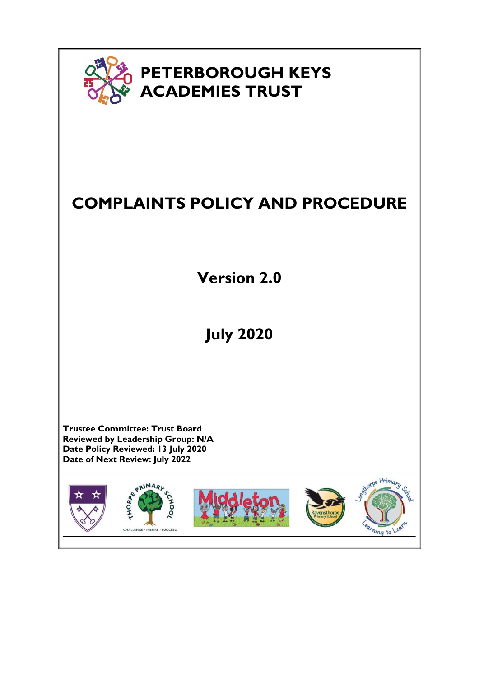

# **COMPLAINTS POLICY AND PROCEDURE**

**Version 2.0**

# **July 2020**

**Trustee Committee: Trust Board Reviewed by Leadership Group: N/A Date Policy Reviewed: 13 July 2020 Date of Next Review: July 2022**

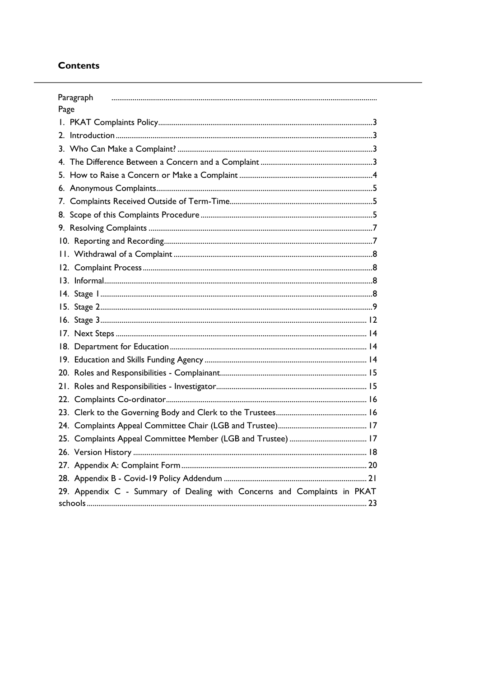## **Contents**

|      | Paragraph                                                                |
|------|--------------------------------------------------------------------------|
| Page |                                                                          |
|      |                                                                          |
|      |                                                                          |
|      |                                                                          |
| 4.   |                                                                          |
|      |                                                                          |
|      |                                                                          |
|      |                                                                          |
|      |                                                                          |
|      |                                                                          |
|      |                                                                          |
|      |                                                                          |
|      |                                                                          |
|      |                                                                          |
|      |                                                                          |
|      |                                                                          |
|      |                                                                          |
|      |                                                                          |
|      |                                                                          |
|      |                                                                          |
|      |                                                                          |
|      |                                                                          |
|      |                                                                          |
|      |                                                                          |
|      |                                                                          |
|      |                                                                          |
|      |                                                                          |
|      |                                                                          |
|      |                                                                          |
|      | 29. Appendix C - Summary of Dealing with Concerns and Complaints in PKAT |
|      |                                                                          |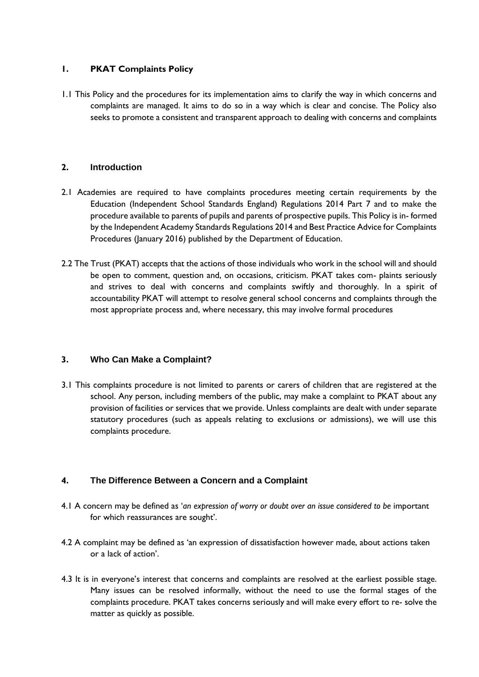### <span id="page-2-0"></span>**1. PKAT Complaints Policy**

1.1 This Policy and the procedures for its implementation aims to clarify the way in which concerns and complaints are managed. It aims to do so in a way which is clear and concise. The Policy also seeks to promote a consistent and transparent approach to dealing with concerns and complaints

## <span id="page-2-1"></span>**2. Introduction**

- 2.1 Academies are required to have complaints procedures meeting certain requirements by the Education (Independent School Standards England) Regulations 2014 Part 7 and to make the procedure available to parents of pupils and parents of prospective pupils. This Policy is in- formed by the Independent Academy Standards Regulations 2014 and Best Practice Advice for Complaints Procedures (January 2016) published by the Department of Education.
- 2.2 The Trust (PKAT) accepts that the actions of those individuals who work in the school will and should be open to comment, question and, on occasions, criticism. PKAT takes com- plaints seriously and strives to deal with concerns and complaints swiftly and thoroughly. In a spirit of accountability PKAT will attempt to resolve general school concerns and complaints through the most appropriate process and, where necessary, this may involve formal procedures

## <span id="page-2-2"></span>**3. Who Can Make a Complaint?**

3.1 This complaints procedure is not limited to parents or carers of children that are registered at the school. Any person, including members of the public, may make a complaint to PKAT about any provision of facilities or services that we provide. Unless complaints are dealt with under separate statutory procedures (such as appeals relating to exclusions or admissions), we will use this complaints procedure.

### <span id="page-2-3"></span>**4. The Difference Between a Concern and a Complaint**

- 4.1 A concern may be defined as '*an expression of worry or doubt over an issue considered to be* important for which reassurances are sought'.
- 4.2 A complaint may be defined as 'an expression of dissatisfaction however made, about actions taken or a lack of action'.
- 4.3 It is in everyone's interest that concerns and complaints are resolved at the earliest possible stage. Many issues can be resolved informally, without the need to use the formal stages of the complaints procedure. PKAT takes concerns seriously and will make every effort to re- solve the matter as quickly as possible.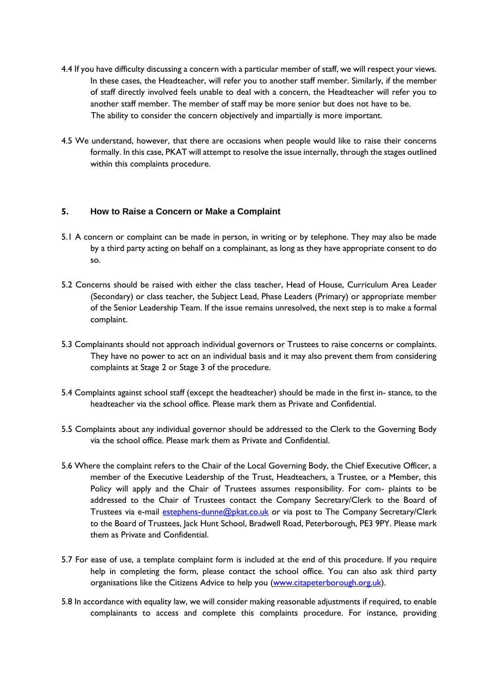- 4.4 If you have difficulty discussing a concern with a particular member of staff, we will respect your views. In these cases, the Headteacher, will refer you to another staff member. Similarly, if the member of staff directly involved feels unable to deal with a concern, the Headteacher will refer you to another staff member. The member of staff may be more senior but does not have to be. The ability to consider the concern objectively and impartially is more important.
- 4.5 We understand, however, that there are occasions when people would like to raise their concerns formally. In this case, PKAT will attempt to resolve the issue internally, through the stages outlined within this complaints procedure.

#### <span id="page-3-0"></span>**5. How to Raise a Concern or Make a Complaint**

- 5.1 A concern or complaint can be made in person, in writing or by telephone. They may also be made by a third party acting on behalf on a complainant, as long as they have appropriate consent to do so.
- 5.2 Concerns should be raised with either the class teacher, Head of House, Curriculum Area Leader (Secondary) or class teacher, the Subject Lead, Phase Leaders (Primary) or appropriate member of the Senior Leadership Team. If the issue remains unresolved, the next step is to make a formal complaint.
- 5.3 Complainants should not approach individual governors or Trustees to raise concerns or complaints. They have no power to act on an individual basis and it may also prevent them from considering complaints at Stage 2 or Stage 3 of the procedure.
- 5.4 Complaints against school staff (except the headteacher) should be made in the first in- stance, to the headteacher via the school office. Please mark them as Private and Confidential.
- 5.5 Complaints about any individual governor should be addressed to the Clerk to the Governing Body via the school office. Please mark them as Private and Confidential.
- 5.6 Where the complaint refers to the Chair of the Local Governing Body, the Chief Executive Officer, a member of the Executive Leadership of the Trust, Headteachers, a Trustee, or a Member, this Policy will apply and the Chair of Trustees assumes responsibility. For com- plaints to be addressed to the Chair of Trustees contact the Company Secretary/Clerk to the Board of Trustees via e-mail estephens-dunne@pkat.co.uk or via post to The Company Secretary/Clerk to the Board of Trustees, Jack Hunt School, Bradwell Road, Peterborough, PE3 9PY. Please mark them as Private and Confidential.
- 5.7 For ease of use, a template complaint form is included at the end of this procedure. If you require help in completing the form, please contact the school office. You can also ask third party organisations like the Citizens Advice to help you (www.citapeterborough.org.uk).
- 5.8 In accordance with equality law, we will consider making reasonable adjustments if required, to enable complainants to access and complete this complaints procedure. For instance, providing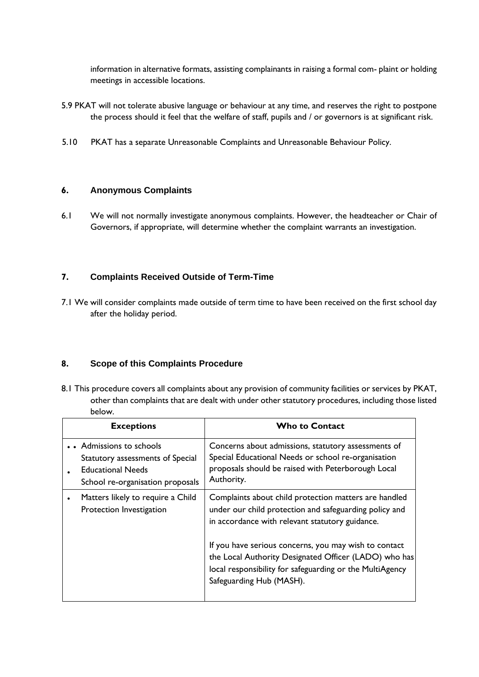information in alternative formats, assisting complainants in raising a formal com- plaint or holding meetings in accessible locations.

- 5.9 PKAT will not tolerate abusive language or behaviour at any time, and reserves the right to postpone the process should it feel that the welfare of staff, pupils and / or governors is at significant risk.
- 5.10 PKAT has a separate Unreasonable Complaints and Unreasonable Behaviour Policy.

#### <span id="page-4-0"></span>**6. Anonymous Complaints**

6.1 We will not normally investigate anonymous complaints. However, the headteacher or Chair of Governors, if appropriate, will determine whether the complaint warrants an investigation.

### <span id="page-4-1"></span>**7. Complaints Received Outside of Term-Time**

7.1 We will consider complaints made outside of term time to have been received on the first school day after the holiday period.

### <span id="page-4-2"></span>**8. Scope of this Complaints Procedure**

8.1 This procedure covers all complaints about any provision of community facilities or services by PKAT, other than complaints that are dealt with under other statutory procedures, including those listed below.

| <b>Exceptions</b>                                                                                                             | <b>Who to Contact</b>                                                                                                                                                                                  |
|-------------------------------------------------------------------------------------------------------------------------------|--------------------------------------------------------------------------------------------------------------------------------------------------------------------------------------------------------|
| • • Admissions to schools<br>Statutory assessments of Special<br><b>Educational Needs</b><br>School re-organisation proposals | Concerns about admissions, statutory assessments of<br>Special Educational Needs or school re-organisation<br>proposals should be raised with Peterborough Local<br>Authority.                         |
| Matters likely to require a Child<br>Protection Investigation                                                                 | Complaints about child protection matters are handled<br>under our child protection and safeguarding policy and<br>in accordance with relevant statutory guidance.                                     |
|                                                                                                                               | If you have serious concerns, you may wish to contact<br>the Local Authority Designated Officer (LADO) who has<br>local responsibility for safeguarding or the MultiAgency<br>Safeguarding Hub (MASH). |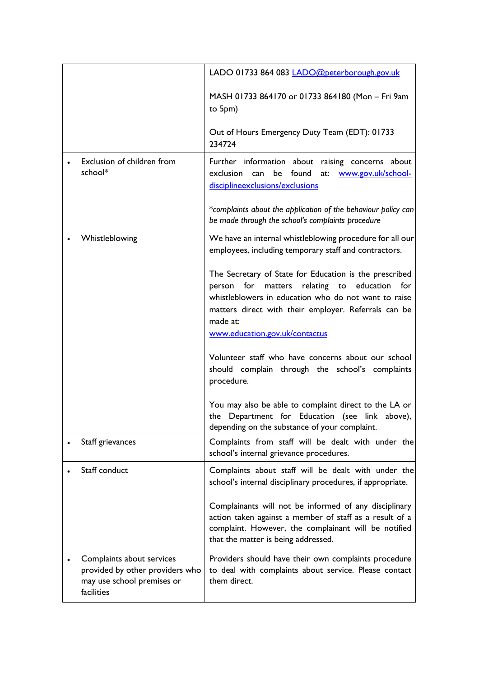|                                                                                                          | LADO 01733 864 083 LADO@peterborough.gov.uk                                                                                                                                                                                                                                            |
|----------------------------------------------------------------------------------------------------------|----------------------------------------------------------------------------------------------------------------------------------------------------------------------------------------------------------------------------------------------------------------------------------------|
|                                                                                                          |                                                                                                                                                                                                                                                                                        |
|                                                                                                          | MASH 01733 864170 or 01733 864180 (Mon - Fri 9am<br>to 5pm)                                                                                                                                                                                                                            |
|                                                                                                          | Out of Hours Emergency Duty Team (EDT): 01733<br>234724                                                                                                                                                                                                                                |
| Exclusion of children from<br>school*                                                                    | Further information about raising concerns about<br>exclusion can<br>be found<br>at:<br>www.gov.uk/school-<br>disciplineexclusions/exclusions                                                                                                                                          |
|                                                                                                          | *complaints about the application of the behaviour policy can<br>be made through the school's complaints procedure                                                                                                                                                                     |
| Whistleblowing                                                                                           | We have an internal whistleblowing procedure for all our<br>employees, including temporary staff and contractors.                                                                                                                                                                      |
|                                                                                                          | The Secretary of State for Education is the prescribed<br>for<br>relating<br>education<br>for<br>person<br>matters<br>to<br>whistleblowers in education who do not want to raise<br>matters direct with their employer. Referrals can be<br>made at:<br>www.education.gov.uk/contactus |
|                                                                                                          | Volunteer staff who have concerns about our school<br>should complain through the school's complaints<br>procedure.                                                                                                                                                                    |
|                                                                                                          | You may also be able to complaint direct to the LA or<br>the Department for Education (see link above),<br>depending on the substance of your complaint.                                                                                                                               |
| Staff grievances                                                                                         | Complaints from staff will be dealt with under the<br>school's internal grievance procedures.                                                                                                                                                                                          |
| Staff conduct                                                                                            | Complaints about staff will be dealt with under the<br>school's internal disciplinary procedures, if appropriate.                                                                                                                                                                      |
|                                                                                                          | Complainants will not be informed of any disciplinary<br>action taken against a member of staff as a result of a<br>complaint. However, the complainant will be notified<br>that the matter is being addressed.                                                                        |
| Complaints about services<br>provided by other providers who<br>may use school premises or<br>facilities | Providers should have their own complaints procedure<br>to deal with complaints about service. Please contact<br>them direct.                                                                                                                                                          |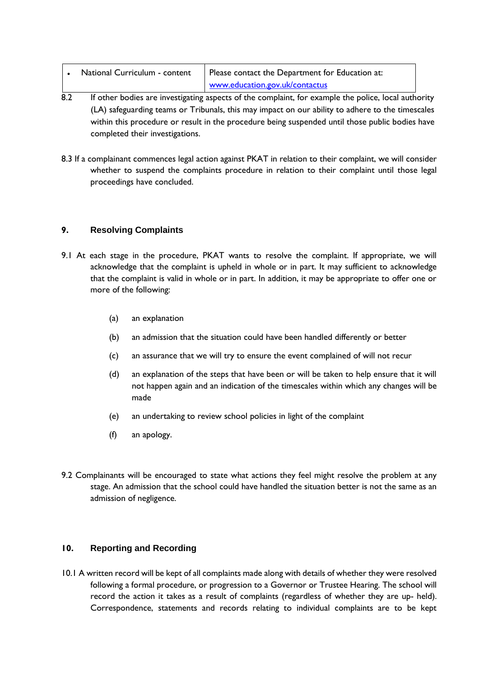| National Curriculum - content | Please contact the Department for Education at: |
|-------------------------------|-------------------------------------------------|
|                               | www.education.gov.uk/contactus                  |

- 8.2 If other bodies are investigating aspects of the complaint, for example the police, local authority (LA) safeguarding teams or Tribunals, this may impact on our ability to adhere to the timescales within this procedure or result in the procedure being suspended until those public bodies have completed their investigations.
- 8.3 If a complainant commences legal action against PKAT in relation to their complaint, we will consider whether to suspend the complaints procedure in relation to their complaint until those legal proceedings have concluded.

## <span id="page-6-0"></span>**9. Resolving Complaints**

- 9.1 At each stage in the procedure, PKAT wants to resolve the complaint. If appropriate, we will acknowledge that the complaint is upheld in whole or in part. It may sufficient to acknowledge that the complaint is valid in whole or in part. In addition, it may be appropriate to offer one or more of the following:
	- (a) an explanation
	- (b) an admission that the situation could have been handled differently or better
	- (c) an assurance that we will try to ensure the event complained of will not recur
	- (d) an explanation of the steps that have been or will be taken to help ensure that it will not happen again and an indication of the timescales within which any changes will be made
	- (e) an undertaking to review school policies in light of the complaint
	- (f) an apology.
- 9.2 Complainants will be encouraged to state what actions they feel might resolve the problem at any stage. An admission that the school could have handled the situation better is not the same as an admission of negligence.

### <span id="page-6-1"></span>**10. Reporting and Recording**

10.1 A written record will be kept of all complaints made along with details of whether they were resolved following a formal procedure, or progression to a Governor or Trustee Hearing. The school will record the action it takes as a result of complaints (regardless of whether they are up- held). Correspondence, statements and records relating to individual complaints are to be kept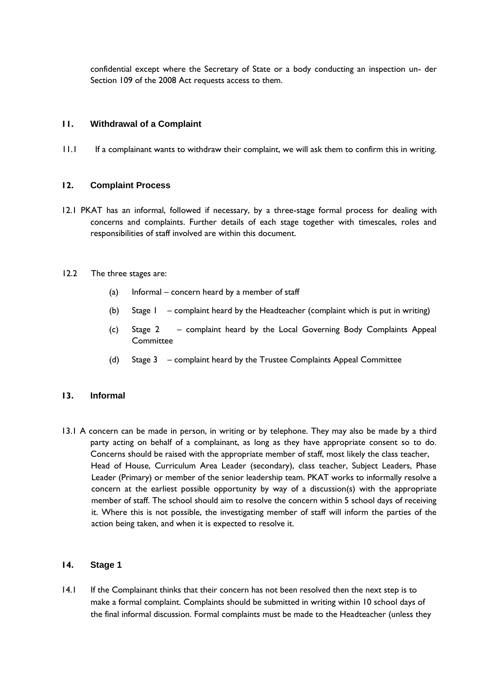confidential except where the Secretary of State or a body conducting an inspection un- der Section 109 of the 2008 Act requests access to them.

#### <span id="page-7-0"></span>**11. Withdrawal of a Complaint**

11.1 If a complainant wants to withdraw their complaint, we will ask them to confirm this in writing.

#### <span id="page-7-1"></span>**12. Complaint Process**

12.1 PKAT has an informal, followed if necessary, by a three-stage formal process for dealing with concerns and complaints. Further details of each stage together with timescales, roles and responsibilities of staff involved are within this document.

#### 12.2 The three stages are:

- (a) Informal concern heard by a member of staff
- (b) Stage 1 complaint heard by the Headteacher (complaint which is put in writing)
- (c) Stage 2 complaint heard by the Local Governing Body Complaints Appeal **Committee**
- (d) Stage 3 complaint heard by the Trustee Complaints Appeal Committee

#### <span id="page-7-2"></span>**13. Informal**

13.1 A concern can be made in person, in writing or by telephone. They may also be made by a third party acting on behalf of a complainant, as long as they have appropriate consent so to do. Concerns should be raised with the appropriate member of staff, most likely the class teacher, Head of House, Curriculum Area Leader (secondary), class teacher, Subject Leaders, Phase Leader (Primary) or member of the senior leadership team. PKAT works to informally resolve a concern at the earliest possible opportunity by way of a discussion(s) with the appropriate member of staff. The school should aim to resolve the concern within 5 school days of receiving it. Where this is not possible, the investigating member of staff will inform the parties of the action being taken, and when it is expected to resolve it.

#### <span id="page-7-3"></span>**14. Stage 1**

14.1 If the Complainant thinks that their concern has not been resolved then the next step is to make a formal complaint. Complaints should be submitted in writing within 10 school days of the final informal discussion. Formal complaints must be made to the Headteacher (unless they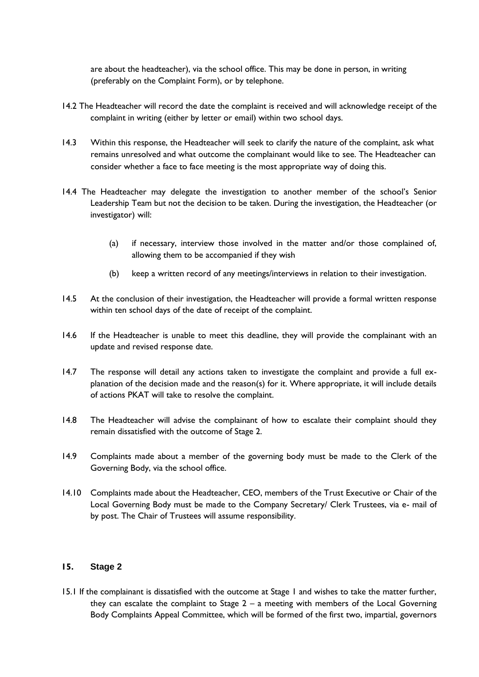are about the headteacher), via the school office. This may be done in person, in writing (preferably on the Complaint Form), or by telephone.

- 14.2 The Headteacher will record the date the complaint is received and will acknowledge receipt of the complaint in writing (either by letter or email) within two school days.
- 14.3 Within this response, the Headteacher will seek to clarify the nature of the complaint, ask what remains unresolved and what outcome the complainant would like to see. The Headteacher can consider whether a face to face meeting is the most appropriate way of doing this.
- 14.4 The Headteacher may delegate the investigation to another member of the school's Senior Leadership Team but not the decision to be taken. During the investigation, the Headteacher (or investigator) will:
	- (a) if necessary, interview those involved in the matter and/or those complained of, allowing them to be accompanied if they wish
	- (b) keep a written record of any meetings/interviews in relation to their investigation.
- 14.5 At the conclusion of their investigation, the Headteacher will provide a formal written response within ten school days of the date of receipt of the complaint.
- 14.6 If the Headteacher is unable to meet this deadline, they will provide the complainant with an update and revised response date.
- 14.7 The response will detail any actions taken to investigate the complaint and provide a full explanation of the decision made and the reason(s) for it. Where appropriate, it will include details of actions PKAT will take to resolve the complaint.
- 14.8 The Headteacher will advise the complainant of how to escalate their complaint should they remain dissatisfied with the outcome of Stage 2.
- 14.9 Complaints made about a member of the governing body must be made to the Clerk of the Governing Body, via the school office.
- 14.10 Complaints made about the Headteacher, CEO, members of the Trust Executive or Chair of the Local Governing Body must be made to the Company Secretary/ Clerk Trustees, via e- mail of by post. The Chair of Trustees will assume responsibility.

#### <span id="page-8-0"></span>**15. Stage 2**

15.1 If the complainant is dissatisfied with the outcome at Stage 1 and wishes to take the matter further, they can escalate the complaint to Stage  $2 - a$  meeting with members of the Local Governing Body Complaints Appeal Committee, which will be formed of the first two, impartial, governors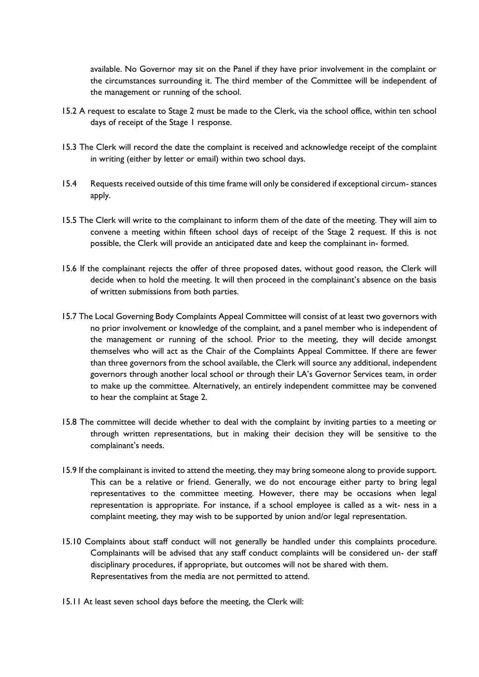available. No Governor may sit on the Panel if they have prior involvement in the complaint or the circumstances surrounding it. The third member of the Committee will be independent of the management or running of the school.

- 15.2 A request to escalate to Stage 2 must be made to the Clerk, via the school office, within ten school days of receipt of the Stage I response.
- 15.3 The Clerk will record the date the complaint is received and acknowledge receipt of the complaint in writing (either by letter or email) within two school days.
- 15.4 Requests received outside of this time frame will only be considered if exceptional circum- stances apply.
- 15.5 The Clerk will write to the complainant to inform them of the date of the meeting. They will aim to convene a meeting within fifteen school days of receipt of the Stage 2 request. If this is not possible, the Clerk will provide an anticipated date and keep the complainant in- formed.
- 15.6 If the complainant rejects the offer of three proposed dates, without good reason, the Clerk will decide when to hold the meeting. It will then proceed in the complainant's absence on the basis of written submissions from both parties.
- 15.7 The Local Governing Body Complaints Appeal Committee will consist of at least two governors with no prior involvement or knowledge of the complaint, and a panel member who is independent of the management or running of the school. Prior to the meeting, they will decide amongst themselves who will act as the Chair of the Complaints Appeal Committee. If there are fewer than three governors from the school available, the Clerk will source any additional, independent governors through another local school or through their LA's Governor Services team, in order to make up the committee. Alternatively, an entirely independent committee may be convened to hear the complaint at Stage 2.
- 15.8 The committee will decide whether to deal with the complaint by inviting parties to a meeting or through written representations, but in making their decision they will be sensitive to the complainant's needs.
- 15.9 If the complainant is invited to attend the meeting, they may bring someone along to provide support. This can be a relative or friend. Generally, we do not encourage either party to bring legal representatives to the committee meeting. However, there may be occasions when legal representation is appropriate. For instance, if a school employee is called as a wit- ness in a complaint meeting, they may wish to be supported by union and/or legal representation.
- 15.10 Complaints about staff conduct will not generally be handled under this complaints procedure. Complainants will be advised that any staff conduct complaints will be considered un- der staff disciplinary procedures, if appropriate, but outcomes will not be shared with them. Representatives from the media are not permitted to attend.
- 15.11 At least seven school days before the meeting, the Clerk will: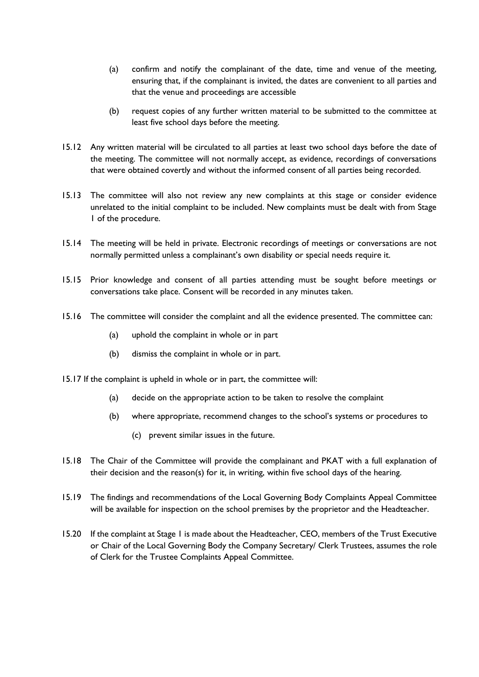- (a) confirm and notify the complainant of the date, time and venue of the meeting, ensuring that, if the complainant is invited, the dates are convenient to all parties and that the venue and proceedings are accessible
- (b) request copies of any further written material to be submitted to the committee at least five school days before the meeting.
- 15.12 Any written material will be circulated to all parties at least two school days before the date of the meeting. The committee will not normally accept, as evidence, recordings of conversations that were obtained covertly and without the informed consent of all parties being recorded.
- 15.13 The committee will also not review any new complaints at this stage or consider evidence unrelated to the initial complaint to be included. New complaints must be dealt with from Stage 1 of the procedure.
- 15.14 The meeting will be held in private. Electronic recordings of meetings or conversations are not normally permitted unless a complainant's own disability or special needs require it.
- 15.15 Prior knowledge and consent of all parties attending must be sought before meetings or conversations take place. Consent will be recorded in any minutes taken.
- 15.16 The committee will consider the complaint and all the evidence presented. The committee can:
	- (a) uphold the complaint in whole or in part
	- (b) dismiss the complaint in whole or in part.
- 15.17 If the complaint is upheld in whole or in part, the committee will:
	- (a) decide on the appropriate action to be taken to resolve the complaint
	- (b) where appropriate, recommend changes to the school's systems or procedures to
		- (c) prevent similar issues in the future.
- 15.18 The Chair of the Committee will provide the complainant and PKAT with a full explanation of their decision and the reason(s) for it, in writing, within five school days of the hearing.
- 15.19 The findings and recommendations of the Local Governing Body Complaints Appeal Committee will be available for inspection on the school premises by the proprietor and the Headteacher.
- 15.20 If the complaint at Stage 1 is made about the Headteacher, CEO, members of the Trust Executive or Chair of the Local Governing Body the Company Secretary/ Clerk Trustees, assumes the role of Clerk for the Trustee Complaints Appeal Committee.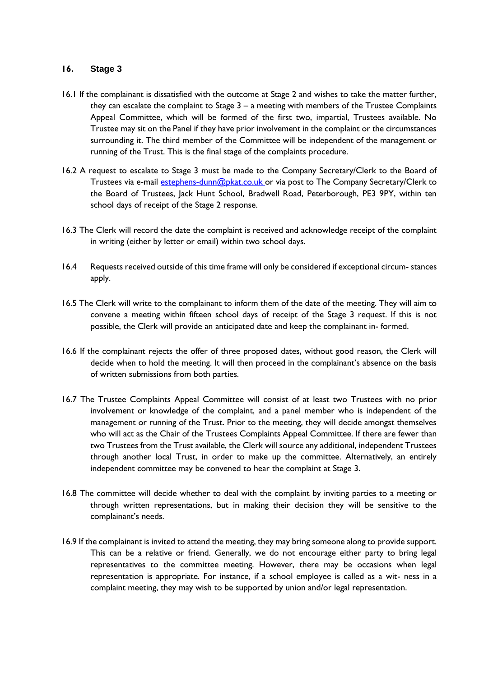#### <span id="page-11-0"></span>**16. Stage 3**

- 16.1 If the complainant is dissatisfied with the outcome at Stage 2 and wishes to take the matter further, they can escalate the complaint to Stage  $3 - a$  meeting with members of the Trustee Complaints Appeal Committee, which will be formed of the first two, impartial, Trustees available. No Trustee may sit on the Panel if they have prior involvement in the complaint or the circumstances surrounding it. The third member of the Committee will be independent of the management or running of the Trust. This is the final stage of the complaints procedure.
- 16.2 A request to escalate to Stage 3 must be made to the Company Secretary/Clerk to the Board of Trustees via e-mail estephens-dunn@pkat.co.uk or via post to The Company Secretary/Clerk to the Board of Trustees, Jack Hunt School, Bradwell Road, Peterborough, PE3 9PY, within ten school days of receipt of the Stage 2 response.
- 16.3 The Clerk will record the date the complaint is received and acknowledge receipt of the complaint in writing (either by letter or email) within two school days.
- 16.4 Requests received outside of this time frame will only be considered if exceptional circum- stances apply.
- 16.5 The Clerk will write to the complainant to inform them of the date of the meeting. They will aim to convene a meeting within fifteen school days of receipt of the Stage 3 request. If this is not possible, the Clerk will provide an anticipated date and keep the complainant in- formed.
- 16.6 If the complainant rejects the offer of three proposed dates, without good reason, the Clerk will decide when to hold the meeting. It will then proceed in the complainant's absence on the basis of written submissions from both parties.
- 16.7 The Trustee Complaints Appeal Committee will consist of at least two Trustees with no prior involvement or knowledge of the complaint, and a panel member who is independent of the management or running of the Trust. Prior to the meeting, they will decide amongst themselves who will act as the Chair of the Trustees Complaints Appeal Committee. If there are fewer than two Trustees from the Trust available, the Clerk will source any additional, independent Trustees through another local Trust, in order to make up the committee. Alternatively, an entirely independent committee may be convened to hear the complaint at Stage 3.
- 16.8 The committee will decide whether to deal with the complaint by inviting parties to a meeting or through written representations, but in making their decision they will be sensitive to the complainant's needs.
- 16.9 If the complainant is invited to attend the meeting, they may bring someone along to provide support. This can be a relative or friend. Generally, we do not encourage either party to bring legal representatives to the committee meeting. However, there may be occasions when legal representation is appropriate. For instance, if a school employee is called as a wit- ness in a complaint meeting, they may wish to be supported by union and/or legal representation.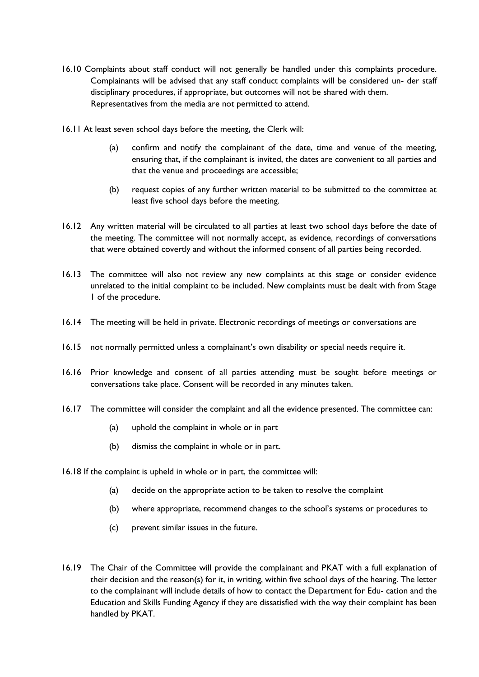- 16.10 Complaints about staff conduct will not generally be handled under this complaints procedure. Complainants will be advised that any staff conduct complaints will be considered un- der staff disciplinary procedures, if appropriate, but outcomes will not be shared with them. Representatives from the media are not permitted to attend.
- 16.11 At least seven school days before the meeting, the Clerk will:
	- (a) confirm and notify the complainant of the date, time and venue of the meeting, ensuring that, if the complainant is invited, the dates are convenient to all parties and that the venue and proceedings are accessible;
	- (b) request copies of any further written material to be submitted to the committee at least five school days before the meeting.
- 16.12 Any written material will be circulated to all parties at least two school days before the date of the meeting. The committee will not normally accept, as evidence, recordings of conversations that were obtained covertly and without the informed consent of all parties being recorded.
- 16.13 The committee will also not review any new complaints at this stage or consider evidence unrelated to the initial complaint to be included. New complaints must be dealt with from Stage 1 of the procedure.
- 16.14 The meeting will be held in private. Electronic recordings of meetings or conversations are
- 16.15 not normally permitted unless a complainant's own disability or special needs require it.
- 16.16 Prior knowledge and consent of all parties attending must be sought before meetings or conversations take place. Consent will be recorded in any minutes taken.
- 16.17 The committee will consider the complaint and all the evidence presented. The committee can:
	- (a) uphold the complaint in whole or in part
	- (b) dismiss the complaint in whole or in part.
- 16.18 If the complaint is upheld in whole or in part, the committee will:
	- (a) decide on the appropriate action to be taken to resolve the complaint
	- (b) where appropriate, recommend changes to the school's systems or procedures to
	- (c) prevent similar issues in the future.
- 16.19 The Chair of the Committee will provide the complainant and PKAT with a full explanation of their decision and the reason(s) for it, in writing, within five school days of the hearing. The letter to the complainant will include details of how to contact the Department for Edu- cation and the Education and Skills Funding Agency if they are dissatisfied with the way their complaint has been handled by PKAT.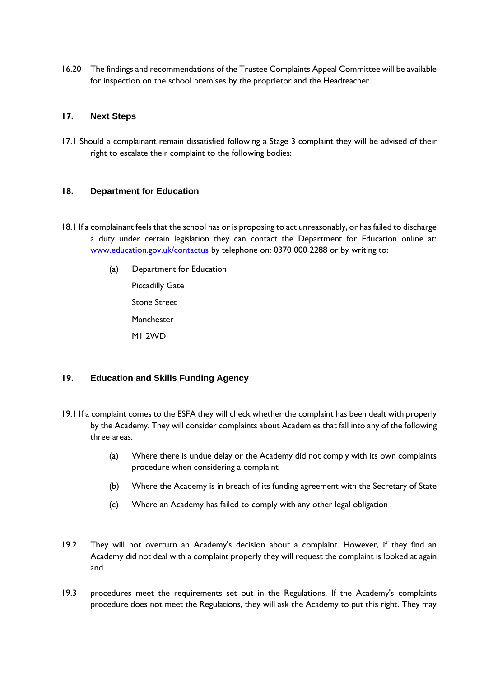16.20 The findings and recommendations of the Trustee Complaints Appeal Committee will be available for inspection on the school premises by the proprietor and the Headteacher.

#### <span id="page-13-0"></span>**17. Next Steps**

17.1 Should a complainant remain dissatisfied following a Stage 3 complaint they will be advised of their right to escalate their complaint to the following bodies:

#### <span id="page-13-1"></span>**18. Department for Education**

- 18.1 If a complainant feels that the school has or is proposing to act unreasonably, or has failed to discharge a duty under certain legislation they can contact the Department for Education online at: [www.education.gov.uk/contactus by](http://www.education.gov.uk/contactus) telephone on: 0370 000 2288 or by writing to:
	- (a) Department for Education Piccadilly Gate Stone Street Manchester
		- M1 2WD

### <span id="page-13-2"></span>**19. Education and Skills Funding Agency**

- 19.1 If a complaint comes to the ESFA they will check whether the complaint has been dealt with properly by the Academy. They will consider complaints about Academies that fall into any of the following three areas:
	- (a) Where there is undue delay or the Academy did not comply with its own complaints procedure when considering a complaint
	- (b) Where the Academy is in breach of its funding agreement with the Secretary of State
	- (c) Where an Academy has failed to comply with any other legal obligation
- 19.2 They will not overturn an Academy's decision about a complaint. However, if they find an Academy did not deal with a complaint properly they will request the complaint is looked at again and
- 19.3 procedures meet the requirements set out in the Regulations. If the Academy's complaints procedure does not meet the Regulations, they will ask the Academy to put this right. They may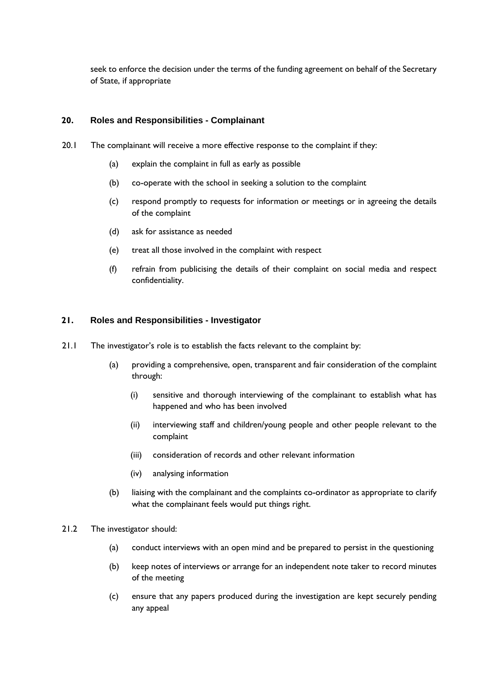seek to enforce the decision under the terms of the funding agreement on behalf of the Secretary of State, if appropriate

#### <span id="page-14-0"></span>**20. Roles and Responsibilities - Complainant**

- 20.1 The complainant will receive a more effective response to the complaint if they:
	- (a) explain the complaint in full as early as possible
	- (b) co-operate with the school in seeking a solution to the complaint
	- (c) respond promptly to requests for information or meetings or in agreeing the details of the complaint
	- (d) ask for assistance as needed
	- (e) treat all those involved in the complaint with respect
	- (f) refrain from publicising the details of their complaint on social media and respect confidentiality.

#### <span id="page-14-1"></span>**21. Roles and Responsibilities - Investigator**

- 21.1 The investigator's role is to establish the facts relevant to the complaint by:
	- (a) providing a comprehensive, open, transparent and fair consideration of the complaint through:
		- (i) sensitive and thorough interviewing of the complainant to establish what has happened and who has been involved
		- (ii) interviewing staff and children/young people and other people relevant to the complaint
		- (iii) consideration of records and other relevant information
		- (iv) analysing information
	- (b) liaising with the complainant and the complaints co-ordinator as appropriate to clarify what the complainant feels would put things right.
- 21.2 The investigator should:
	- (a) conduct interviews with an open mind and be prepared to persist in the questioning
	- (b) keep notes of interviews or arrange for an independent note taker to record minutes of the meeting
	- (c) ensure that any papers produced during the investigation are kept securely pending any appeal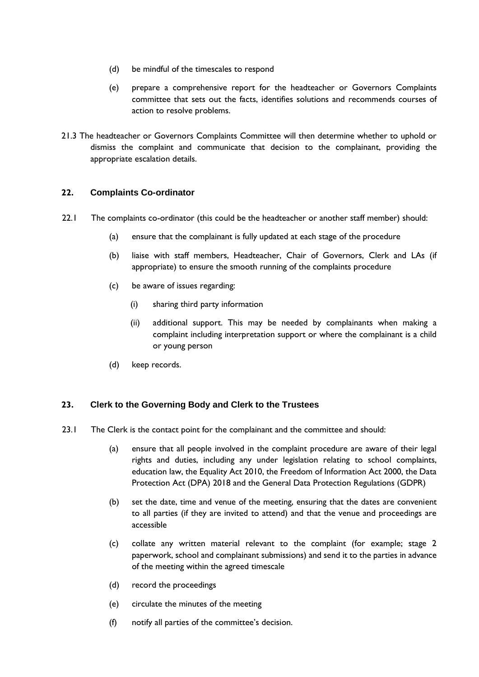- (d) be mindful of the timescales to respond
- (e) prepare a comprehensive report for the headteacher or Governors Complaints committee that sets out the facts, identifies solutions and recommends courses of action to resolve problems.
- 21.3 The headteacher or Governors Complaints Committee will then determine whether to uphold or dismiss the complaint and communicate that decision to the complainant, providing the appropriate escalation details.

### <span id="page-15-0"></span>**22. Complaints Co-ordinator**

- 22.1 The complaints co-ordinator (this could be the headteacher or another staff member) should:
	- (a) ensure that the complainant is fully updated at each stage of the procedure
	- (b) liaise with staff members, Headteacher, Chair of Governors, Clerk and LAs (if appropriate) to ensure the smooth running of the complaints procedure
	- (c) be aware of issues regarding:
		- (i) sharing third party information
		- (ii) additional support. This may be needed by complainants when making a complaint including interpretation support or where the complainant is a child or young person
	- (d) keep records.

### <span id="page-15-1"></span>**23. Clerk to the Governing Body and Clerk to the Trustees**

- 23.1 The Clerk is the contact point for the complainant and the committee and should:
	- (a) ensure that all people involved in the complaint procedure are aware of their legal rights and duties, including any under legislation relating to school complaints, education law, the Equality Act 2010, the Freedom of Information Act 2000, the Data Protection Act (DPA) 2018 and the General Data Protection Regulations (GDPR)
	- (b) set the date, time and venue of the meeting, ensuring that the dates are convenient to all parties (if they are invited to attend) and that the venue and proceedings are accessible
	- (c) collate any written material relevant to the complaint (for example; stage 2 paperwork, school and complainant submissions) and send it to the parties in advance of the meeting within the agreed timescale
	- (d) record the proceedings
	- (e) circulate the minutes of the meeting
	- (f) notify all parties of the committee's decision.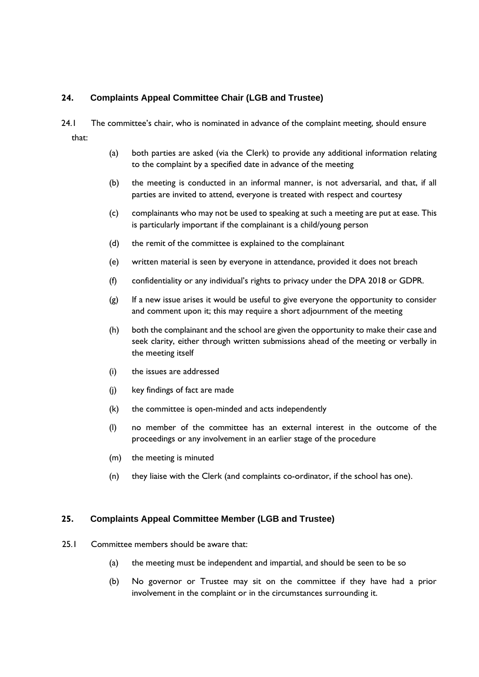### <span id="page-16-0"></span>**24. Complaints Appeal Committee Chair (LGB and Trustee)**

- 24.1 The committee's chair, who is nominated in advance of the complaint meeting, should ensure that:
	- (a) both parties are asked (via the Clerk) to provide any additional information relating to the complaint by a specified date in advance of the meeting
	- (b) the meeting is conducted in an informal manner, is not adversarial, and that, if all parties are invited to attend, everyone is treated with respect and courtesy
	- (c) complainants who may not be used to speaking at such a meeting are put at ease. This is particularly important if the complainant is a child/young person
	- (d) the remit of the committee is explained to the complainant
	- (e) written material is seen by everyone in attendance, provided it does not breach
	- (f) confidentiality or any individual's rights to privacy under the DPA 2018 or GDPR.
	- (g) If a new issue arises it would be useful to give everyone the opportunity to consider and comment upon it; this may require a short adjournment of the meeting
	- (h) both the complainant and the school are given the opportunity to make their case and seek clarity, either through written submissions ahead of the meeting or verbally in the meeting itself
	- (i) the issues are addressed
	- (j) key findings of fact are made
	- (k) the committee is open-minded and acts independently
	- (l) no member of the committee has an external interest in the outcome of the proceedings or any involvement in an earlier stage of the procedure
	- (m) the meeting is minuted
	- (n) they liaise with the Clerk (and complaints co-ordinator, if the school has one).

#### <span id="page-16-1"></span>**25. Complaints Appeal Committee Member (LGB and Trustee)**

- 25.1 Committee members should be aware that:
	- (a) the meeting must be independent and impartial, and should be seen to be so
	- (b) No governor or Trustee may sit on the committee if they have had a prior involvement in the complaint or in the circumstances surrounding it.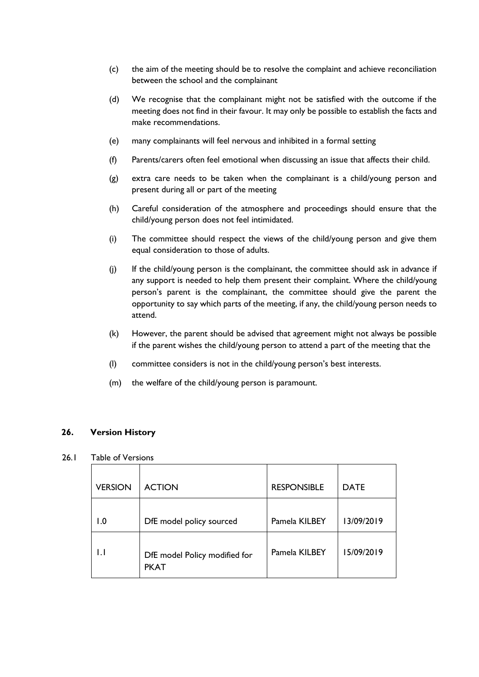- (c) the aim of the meeting should be to resolve the complaint and achieve reconciliation between the school and the complainant
- (d) We recognise that the complainant might not be satisfied with the outcome if the meeting does not find in their favour. It may only be possible to establish the facts and make recommendations.
- (e) many complainants will feel nervous and inhibited in a formal setting
- (f) Parents/carers often feel emotional when discussing an issue that affects their child.
- (g) extra care needs to be taken when the complainant is a child/young person and present during all or part of the meeting
- (h) Careful consideration of the atmosphere and proceedings should ensure that the child/young person does not feel intimidated.
- (i) The committee should respect the views of the child/young person and give them equal consideration to those of adults.
- (j) If the child/young person is the complainant, the committee should ask in advance if any support is needed to help them present their complaint. Where the child/young person's parent is the complainant, the committee should give the parent the opportunity to say which parts of the meeting, if any, the child/young person needs to attend.
- (k) However, the parent should be advised that agreement might not always be possible if the parent wishes the child/young person to attend a part of the meeting that the
- (l) committee considers is not in the child/young person's best interests.
- (m) the welfare of the child/young person is paramount.

#### <span id="page-17-0"></span>**26. Version History**

#### 26.1 Table of Versions

| <b>VERSION</b> | <b>ACTION</b>                                | <b>RESPONSIBLE</b> | <b>DATE</b> |
|----------------|----------------------------------------------|--------------------|-------------|
| l .0           | DfE model policy sourced                     | Pamela KILBEY      | 13/09/2019  |
|                | DfE model Policy modified for<br><b>PKAT</b> | Pamela KILBEY      | 15/09/2019  |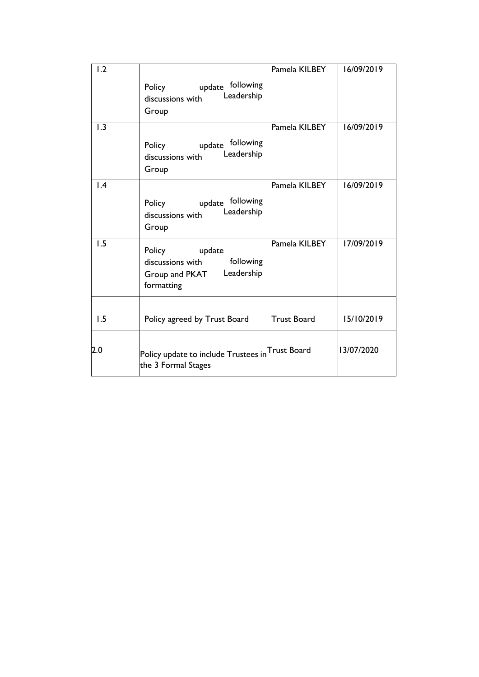| 1.2             | update following<br>Policy<br>Leadership<br>discussions with<br>Group                           | Pamela KILBEY      | 16/09/2019 |
|-----------------|-------------------------------------------------------------------------------------------------|--------------------|------------|
| 1.3             | update following<br>Policy<br>Leadership<br>discussions with<br>Group                           | Pamela KILBEY      | 16/09/2019 |
| $\mathsf{I}$ .4 | update following<br>Policy<br>Leadership<br>discussions with<br>Group                           | Pamela KILBEY      | 16/09/2019 |
| 1.5             | Policy<br>update<br>following<br>discussions with<br>Leadership<br>Group and PKAT<br>formatting | Pamela KILBEY      | 17/09/2019 |
| 1.5             | Policy agreed by Trust Board                                                                    | <b>Trust Board</b> | 15/10/2019 |
| 2.0             | ${\sf Policy}$ update to include ${\sf Trustees}$ in ${\sf Trust}$ Board<br>the 3 Formal Stages |                    | 13/07/2020 |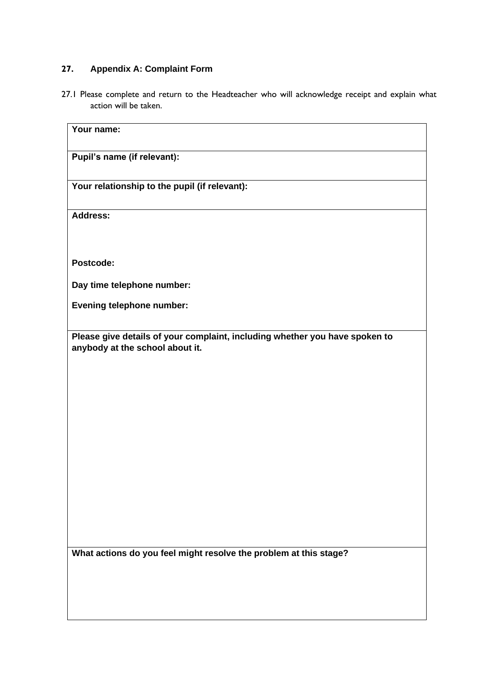## <span id="page-19-0"></span>**27. Appendix A: Complaint Form**

27.1 Please complete and return to the Headteacher who will acknowledge receipt and explain what action will be taken.

| Your name:                                                                                                     |
|----------------------------------------------------------------------------------------------------------------|
| Pupil's name (if relevant):                                                                                    |
| Your relationship to the pupil (if relevant):                                                                  |
| <b>Address:</b>                                                                                                |
| Postcode:                                                                                                      |
| Day time telephone number:                                                                                     |
| <b>Evening telephone number:</b>                                                                               |
| Please give details of your complaint, including whether you have spoken to<br>anybody at the school about it. |
|                                                                                                                |
|                                                                                                                |

**What actions do you feel might resolve the problem at this stage?**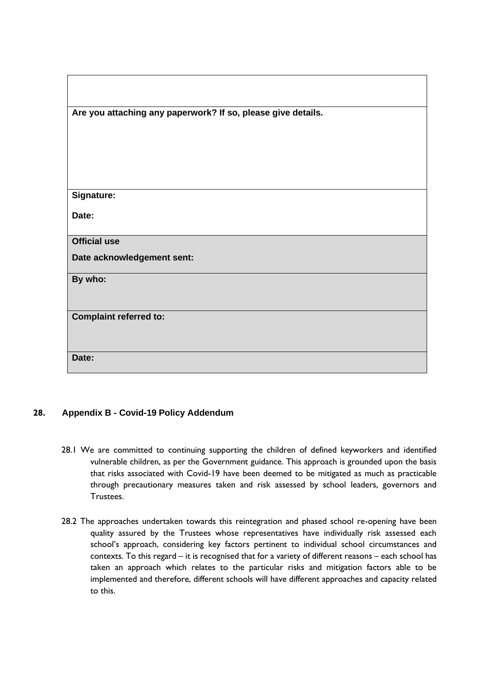| Are you attaching any paperwork? If so, please give details. |
|--------------------------------------------------------------|
|                                                              |
|                                                              |
|                                                              |
| Signature:                                                   |
| Date:                                                        |
| <b>Official use</b>                                          |
|                                                              |
| Date acknowledgement sent:                                   |
| By who:                                                      |
|                                                              |
| <b>Complaint referred to:</b>                                |
|                                                              |
| Date:                                                        |

## <span id="page-20-0"></span>**28. Appendix B - Covid-19 Policy Addendum**

- 28.1 We are committed to continuing supporting the children of defined keyworkers and identified vulnerable children, as per the Government guidance. This approach is grounded upon the basis that risks associated with Covid-19 have been deemed to be mitigated as much as practicable through precautionary measures taken and risk assessed by school leaders, governors and Trustees.
- 28.2 The approaches undertaken towards this reintegration and phased school re-opening have been quality assured by the Trustees whose representatives have individually risk assessed each school's approach, considering key factors pertinent to individual school circumstances and contexts. To this regard – it is recognised that for a variety of different reasons – each school has taken an approach which relates to the particular risks and mitigation factors able to be implemented and therefore, different schools will have different approaches and capacity related to this.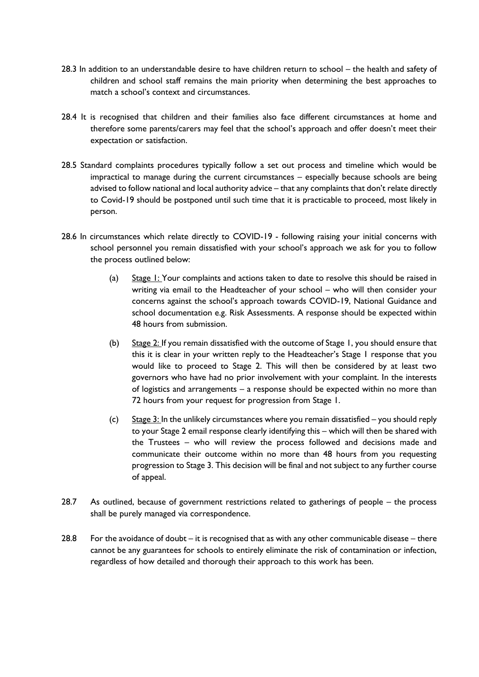- 28.3 In addition to an understandable desire to have children return to school the health and safety of children and school staff remains the main priority when determining the best approaches to match a school's context and circumstances.
- 28.4 It is recognised that children and their families also face different circumstances at home and therefore some parents/carers may feel that the school's approach and offer doesn't meet their expectation or satisfaction.
- 28.5 Standard complaints procedures typically follow a set out process and timeline which would be impractical to manage during the current circumstances – especially because schools are being advised to follow national and local authority advice – that any complaints that don't relate directly to Covid-19 should be postponed until such time that it is practicable to proceed, most likely in person.
- 28.6 In circumstances which relate directly to COVID-19 following raising your initial concerns with school personnel you remain dissatisfied with your school's approach we ask for you to follow the process outlined below:
	- (a) Stage 1: Your complaints and actions taken to date to resolve this should be raised in writing via email to the Headteacher of your school – who will then consider your concerns against the school's approach towards COVID-19, National Guidance and school documentation e.g. Risk Assessments. A response should be expected within 48 hours from submission.
	- (b)  $\frac{6}{3}$  Stage 2: If you remain dissatisfied with the outcome of Stage 1, you should ensure that this it is clear in your written reply to the Headteacher's Stage 1 response that you would like to proceed to Stage 2. This will then be considered by at least two governors who have had no prior involvement with your complaint. In the interests of logistics and arrangements – a response should be expected within no more than 72 hours from your request for progression from Stage 1.
	- (c) Stage 3: In the unlikely circumstances where you remain dissatisfied you should reply to your Stage 2 email response clearly identifying this – which will then be shared with the Trustees – who will review the process followed and decisions made and communicate their outcome within no more than 48 hours from you requesting progression to Stage 3. This decision will be final and not subject to any further course of appeal.
- 28.7 As outlined, because of government restrictions related to gatherings of people the process shall be purely managed via correspondence.
- 28.8 For the avoidance of doubt it is recognised that as with any other communicable disease there cannot be any guarantees for schools to entirely eliminate the risk of contamination or infection, regardless of how detailed and thorough their approach to this work has been.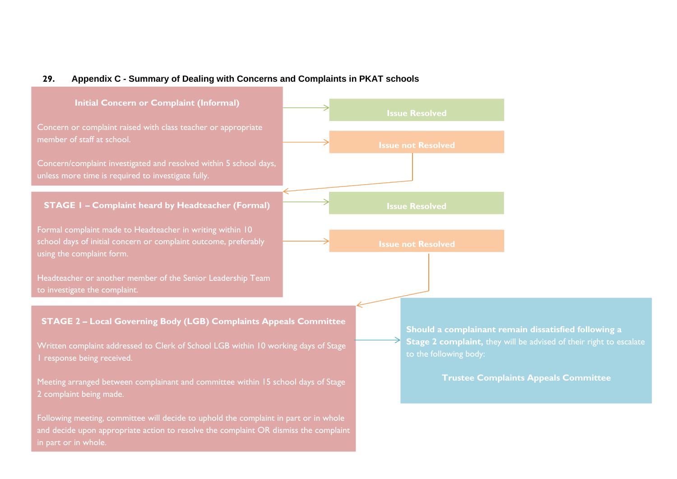#### **29. Appendix C - Summary of Dealing with Concerns and Complaints in PKAT schools**

<span id="page-22-0"></span>